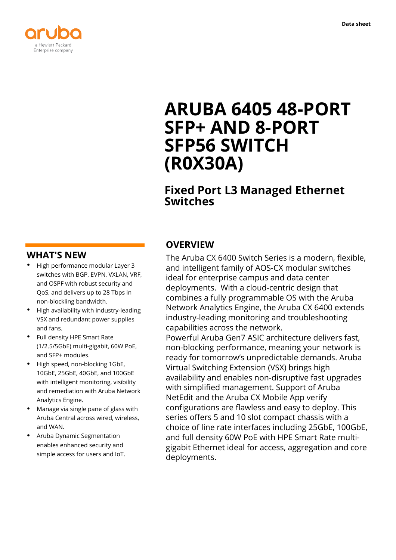

# **ARUBA 6405 48-PORT SFP+ AND 8-PORT SFP56 SWITCH (R0X30A)**

# **Fixed Port L3 Managed Ethernet Switches**

## **WHAT'S NEW**

- **·** High performance modular Layer 3 switches with BGP, EVPN, VXLAN, VRF, and OSPF with robust security and QoS, and delivers up to 28 Tbps in non-blockling bandwidth.
- **·** High availability with industry-leading VSX and redundant power supplies and fans.
- **·** Full density HPE Smart Rate (1/2.5/5GbE) multi-gigabit, 60W PoE, and SFP+ modules.
- **·** High speed, non-blocking 1GbE, 10GbE, 25GbE, 40GbE, and 100GbE with intelligent monitoring, visibility and remediation with Aruba Network Analytics Engine.
- **·** Manage via single pane of glass with Aruba Central across wired, wireless, and WAN.
- **·** Aruba Dynamic Segmentation enables enhanced security and simple access for users and IoT.

# **OVERVIEW**

The Aruba CX 6400 Switch Series is a modern, flexible, and intelligent family of AOS-CX modular switches ideal for enterprise campus and data center deployments. With a cloud-centric design that combines a fully programmable OS with the Aruba Network Analytics Engine, the Aruba CX 6400 extends industry-leading monitoring and troubleshooting capabilities across the network.

Powerful Aruba Gen7 ASIC architecture delivers fast, non-blocking performance, meaning your network is ready for tomorrow's unpredictable demands. Aruba Virtual Switching Extension (VSX) brings high availability and enables non-disruptive fast upgrades with simplified management. Support of Aruba NetEdit and the Aruba CX Mobile App verify configurations are flawless and easy to deploy. This series offers 5 and 10 slot compact chassis with a choice of line rate interfaces including 25GbE, 100GbE, and full density 60W PoE with HPE Smart Rate multigigabit Ethernet ideal for access, aggregation and core deployments.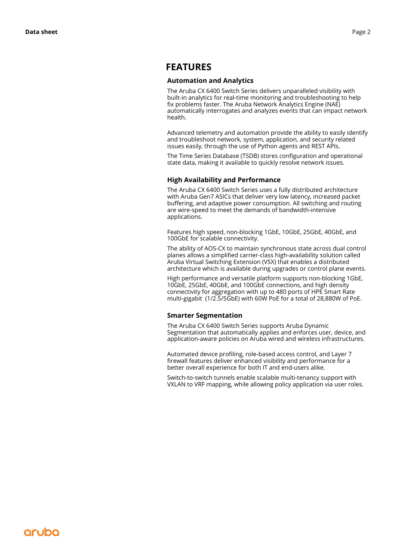### **FEATURES**

#### **Automation and Analytics**

The Aruba CX 6400 Switch Series delivers unparalleled visibility with built-in analytics for real-time monitoring and troubleshooting to help fix problems faster. The Aruba Network Analytics Engine (NAE) automatically interrogates and analyzes events that can impact network health.

Advanced telemetry and automation provide the ability to easily identify and troubleshoot network, system, application, and security related issues easily, through the use of Python agents and REST APIs.

The Time Series Database (TSDB) stores configuration and operational state data, making it available to quickly resolve network issues.

#### **High Availability and Performance**

The Aruba CX 6400 Switch Series uses a fully distributed architecture with Aruba Gen7 ASICs that deliver very low latency, increased packet buffering, and adaptive power consumption. All switching and routing are wire-speed to meet the demands of bandwidth-intensive applications.

Features high speed, non-blocking 1GbE, 10GbE, 25GbE, 40GbE, and 100GbE for scalable connectivity.

The ability of AOS-CX to maintain synchronous state across dual control planes allows a simplified carrier-class high-availability solution called Aruba Virtual Switching Extension (VSX) that enables a distributed architecture which is available during upgrades or control plane events.

High performance and versatile platform supports non-blocking 1GbE, 10GbE, 25GbE, 40GbE, and 100GbE connections, and high density connectivity for aggregation with up to 480 ports of HPE Smart Rate multi-gigabit (1/2.5/5GbE) with 60W PoE for a total of 28,880W of PoE.

#### **Smarter Segmentation**

The Aruba CX 6400 Switch Series supports Aruba Dynamic Segmentation that automatically applies and enforces user, device, and application-aware policies on Aruba wired and wireless infrastructures.

Automated device profiling, role-based access control, and Layer 7 firewall features deliver enhanced visibility and performance for a better overall experience for both IT and end-users alike.

Switch-to-switch tunnels enable scalable multi-tenancy support with VXLAN to VRF mapping, while allowing policy application via user roles.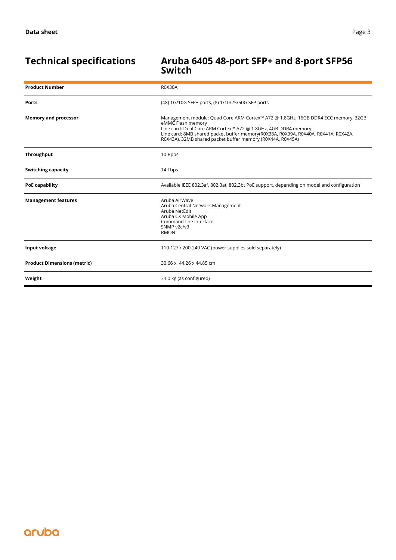# **Technical specifications Aruba 6405 48-port SFP+ and 8-port SFP56 Switch**

| <b>Product Number</b>              | <b>R0X30A</b>                                                                                                                                                                                                                                                                                                                |
|------------------------------------|------------------------------------------------------------------------------------------------------------------------------------------------------------------------------------------------------------------------------------------------------------------------------------------------------------------------------|
| <b>Ports</b>                       | (48) 1G/10G SFP+ ports, (8) 1/10/25/50G SFP ports                                                                                                                                                                                                                                                                            |
| <b>Memory and processor</b>        | Management module: Quad Core ARM Cortex™ A72 @ 1.8GHz, 16GB DDR4 ECC memory, 32GB<br>eMMC Flash memory<br>Line card: Dual Core ARM Cortex™ A72 @ 1.8GHz, 4GB DDR4 memory<br>Line card: 8MB shared packet buffer memory(R0X38A, R0X39A, R0X40A, R0X41A, R0X42A,<br>R0X43A), 32MB shared packet buffer memory (R0X44A, R0X45A) |
| <b>Throughput</b>                  | 10 Bpps                                                                                                                                                                                                                                                                                                                      |
| <b>Switching capacity</b>          | 14 Tbps                                                                                                                                                                                                                                                                                                                      |
| PoE capability                     | Available IEEE 802.3af, 802.3at, 802.3bt PoE support, depending on model and configuration                                                                                                                                                                                                                                   |
| <b>Management features</b>         | Aruba AirWave<br>Aruba Central Network Management<br>Aruba NetEdit<br>Aruba CX Mobile App<br>Command-line interface<br>SNMP v2c/v3<br><b>RMON</b>                                                                                                                                                                            |
| Input voltage                      | 110-127 / 200-240 VAC (power supplies sold separately)                                                                                                                                                                                                                                                                       |
| <b>Product Dimensions (metric)</b> | 30.66 x 44.26 x 44.85 cm                                                                                                                                                                                                                                                                                                     |
| Weight                             | 34.0 kg (as configured)                                                                                                                                                                                                                                                                                                      |